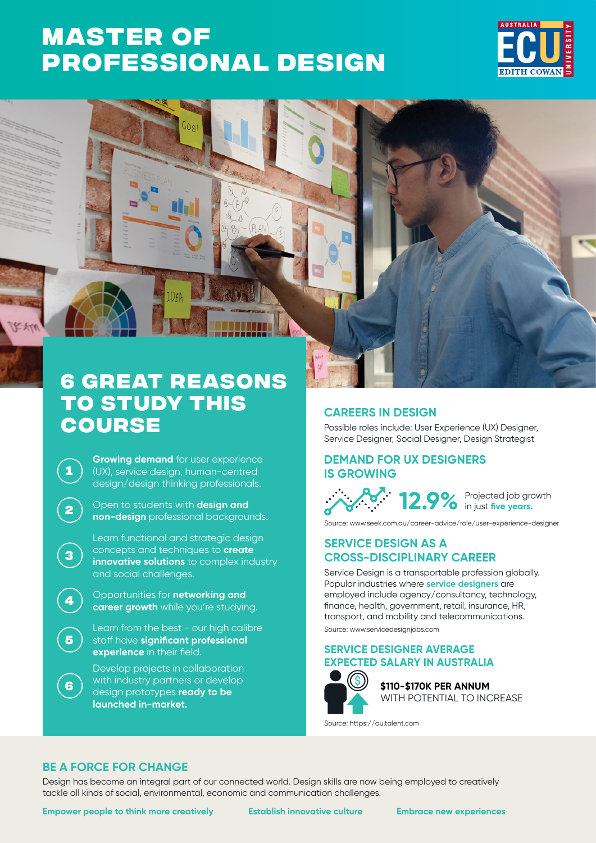# **MASTER OF [PROFESSIONAL DESIGN](https://www.ecu.edu.au/degrees/courses/overview?id=J72)**





## **6 great reasons to study this course**

**Growing demand** for user experience (UX), service design, human-centred design/design thinking professionals.

**<sup>2</sup>** Open to students with **design and non-design** professional backgrounds.

Learn functional and strategic design concepts and techniques to **create innovative solutions** to complex industry and social challenges.

**<sup>4</sup>** Opportunities for **networking and career growth** while you're studying.

> Learn from the best - our high calibre staff have **significant professional experience** in their field.

Develop projects in collaboration with industry partners or develop design prototypes **ready to be launched in-market.**

### **CAREERS IN DESIGN**

Possible roles include: User Experience (UX) Designer, Service Designer, Social Designer, Design Strategist..

### **DEMAND FOR UX DESIGNERS IS GROWING**

12.9% Projected job growth

Source: [www.seek.com.au/career-advice/role/user-experience-designer](http://www.seek.com.au/career-advice/role/user-experience-designer)

### **SERVICE DESIGN AS A CROSS-DISCIPLINARY CAREER**

Service Design is a transportable profession globally. Popular industries where **service designers** are employed include agency/consultancy, technology, finance, health, government, retail, insurance, HR, transport, and mobility and telecommunications. Source: www.servicedesignjobs.com

#### **SERVICE DESIGNER AVERAGE EXPECTED SALARY IN AUSTRALIA**



**\$110-\$170K PER ANNUM** WITH POTENTIAL TO INCREASE

Source: https://au.talent.com

## **BE A FORCE FOR CHANGE**

**1**

 $2250$ 

**3**

**5**

**6**

Design has become an integral part of our connected world. Design skills are now being employed to creatively tackle all kinds of social, environmental, economic and communication challenges.